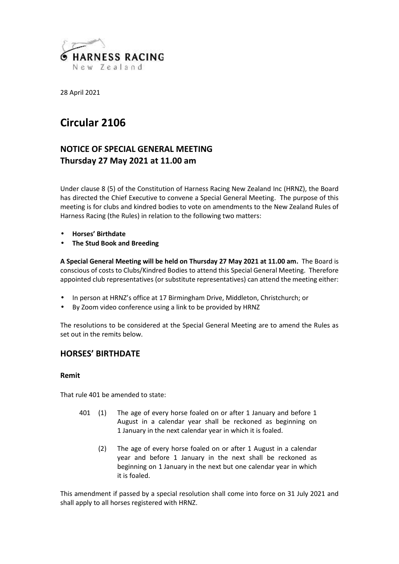

28 April 2021

# **Circular 2106**

# **NOTICE OF SPECIAL GENERAL MEETING Thursday 27 May 2021 at 11.00 am**

Under clause 8 (5) of the Constitution of Harness Racing New Zealand Inc (HRNZ), the Board has directed the Chief Executive to convene a Special General Meeting. The purpose of this meeting is for clubs and kindred bodies to vote on amendments to the New Zealand Rules of Harness Racing (the Rules) in relation to the following two matters:

# **Horses' Birthdate**

# **The Stud Book and Breeding**

**A Special General Meeting will be held on Thursday 27 May 2021 at 11.00 am.** The Board is conscious of costs to Clubs/Kindred Bodies to attend this Special General Meeting. Therefore appointed club representatives (or substitute representatives) can attend the meeting either:

- In person at HRNZ's office at 17 Birmingham Drive, Middleton, Christchurch; or
- By Zoom video conference using a link to be provided by HRNZ

The resolutions to be considered at the Special General Meeting are to amend the Rules as set out in the remits below.

# **HORSES' BIRTHDATE**

# **Remit**

That rule 401 be amended to state:

- 401 (1) The age of every horse foaled on or after 1 January and before 1 August in a calendar year shall be reckoned as beginning on 1 January in the next calendar year in which it is foaled.
	- (2) The age of every horse foaled on or after 1 August in a calendar year and before 1 January in the next shall be reckoned as beginning on 1 January in the next but one calendar year in which it is foaled.

This amendment if passed by a special resolution shall come into force on 31 July 2021 and shall apply to all horses registered with HRNZ.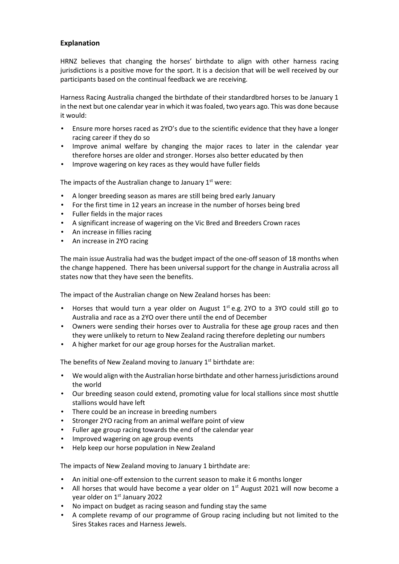# **Explanation**

HRNZ believes that changing the horses' birthdate to align with other harness racing jurisdictions is a positive move for the sport. It is a decision that will be well received by our participants based on the continual feedback we are receiving.

Harness Racing Australia changed the birthdate of their standardbred horses to be January 1 in the next but one calendar year in which it was foaled, two years ago. This was done because it would:

- Ensure more horses raced as 2YO's due to the scientific evidence that they have a longer racing career if they do so
- Improve animal welfare by changing the major races to later in the calendar year therefore horses are older and stronger. Horses also better educated by then
- Improve wagering on key races as they would have fuller fields

The impacts of the Australian change to January  $1<sup>st</sup>$  were:

- A longer breeding season as mares are still being bred early January
- For the first time in 12 years an increase in the number of horses being bred
- Fuller fields in the major races
- A significant increase of wagering on the Vic Bred and Breeders Crown races
- An increase in fillies racing
- An increase in 2YO racing

The main issue Australia had was the budget impact of the one-off season of 18 months when the change happened. There has been universal support for the change in Australia across all states now that they have seen the benefits.

The impact of the Australian change on New Zealand horses has been:

- Horses that would turn a year older on August  $1^{st}$  e.g. 2YO to a 3YO could still go to Australia and race as a 2YO over there until the end of December
- Owners were sending their horses over to Australia for these age group races and then they were unlikely to return to New Zealand racing therefore depleting our numbers
- A higher market for our age group horses for the Australian market.

The benefits of New Zealand moving to January 1<sup>st</sup> birthdate are:

- We would align with the Australian horse birthdate and other harness jurisdictions around the world
- Our breeding season could extend, promoting value for local stallions since most shuttle stallions would have left
- There could be an increase in breeding numbers
- Stronger 2YO racing from an animal welfare point of view
- Fuller age group racing towards the end of the calendar year
- Improved wagering on age group events
- Help keep our horse population in New Zealand

The impacts of New Zealand moving to January 1 birthdate are:

- An initial one-off extension to the current season to make it 6 months longer
- ) All horses that would have become a year older on  $1<sup>st</sup>$  August 2021 will now become a year older on 1<sup>st</sup> January 2022
- No impact on budget as racing season and funding stay the same
- A complete revamp of our programme of Group racing including but not limited to the Sires Stakes races and Harness Jewels.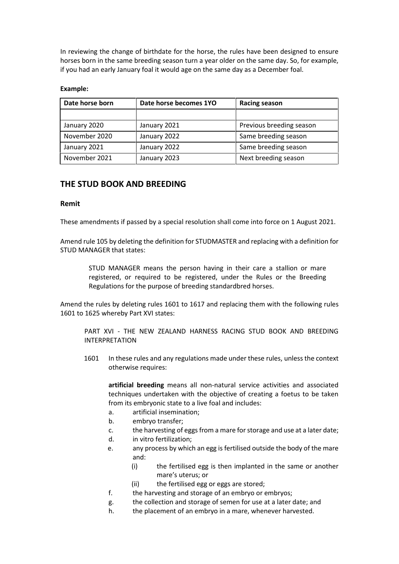In reviewing the change of birthdate for the horse, the rules have been designed to ensure horses born in the same breeding season turn a year older on the same day. So, for example, if you had an early January foal it would age on the same day as a December foal.

# **Example:**

| Date horse born | Date horse becomes 1YO | <b>Racing season</b>     |
|-----------------|------------------------|--------------------------|
|                 |                        |                          |
| January 2020    | January 2021           | Previous breeding season |
| November 2020   | January 2022           | Same breeding season     |
| January 2021    | January 2022           | Same breeding season     |
| November 2021   | January 2023           | Next breeding season     |

# **THE STUD BOOK AND BREEDING**

# **Remit**

These amendments if passed by a special resolution shall come into force on 1 August 2021.

Amend rule 105 by deleting the definition for STUDMASTER and replacing with a definition for STUD MANAGER that states:

> STUD MANAGER means the person having in their care a stallion or mare registered, or required to be registered, under the Rules or the Breeding Regulations for the purpose of breeding standardbred horses.

Amend the rules by deleting rules 1601 to 1617 and replacing them with the following rules 1601 to 1625 whereby Part XVI states:

PART XVI - THE NEW ZEALAND HARNESS RACING STUD BOOK AND BREEDING INTERPRETATION

1601 In these rules and any regulations made under these rules, unless the context otherwise requires:

**artificial breeding** means all non-natural service activities and associated techniques undertaken with the objective of creating a foetus to be taken from its embryonic state to a live foal and includes:

- a. artificial insemination;
- b. embryo transfer;
- c. the harvesting of eggs from a mare for storage and use at a later date;
- d. in vitro fertilization;
- e. any process by which an egg is fertilised outside the body of the mare and:
	- (i) the fertilised egg is then implanted in the same or another mare's uterus; or
	- (ii) the fertilised egg or eggs are stored;
- f. the harvesting and storage of an embryo or embryos;
- g. the collection and storage of semen for use at a later date; and
- h. the placement of an embryo in a mare, whenever harvested.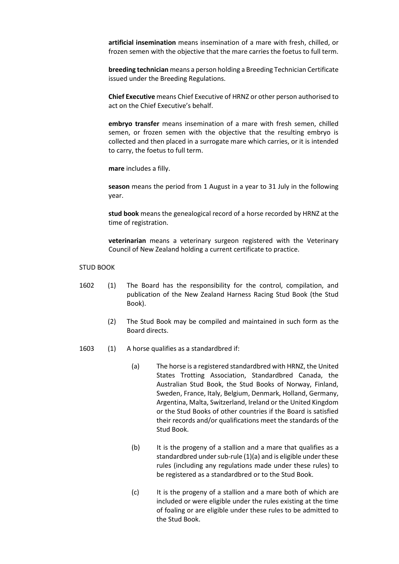**artificial insemination** means insemination of a mare with fresh, chilled, or frozen semen with the objective that the mare carries the foetus to full term.

**breeding technician** means a person holding a Breeding Technician Certificate issued under the Breeding Regulations.

**Chief Executive** means Chief Executive of HRNZ or other person authorised to act on the Chief Executive's behalf.

**embryo transfer** means insemination of a mare with fresh semen, chilled semen, or frozen semen with the objective that the resulting embryo is collected and then placed in a surrogate mare which carries, or it is intended to carry, the foetus to full term.

**mare** includes a filly.

**season** means the period from 1 August in a year to 31 July in the following year.

**stud book** means the genealogical record of a horse recorded by HRNZ at the time of registration.

**veterinarian** means a veterinary surgeon registered with the Veterinary Council of New Zealand holding a current certificate to practice.

## STUD BOOK

- 1602 (1) The Board has the responsibility for the control, compilation, and publication of the New Zealand Harness Racing Stud Book (the Stud Book).
	- (2) The Stud Book may be compiled and maintained in such form as the Board directs.
- 1603 (1) A horse qualifies as a standardbred if:
	- (a) The horse is a registered standardbred with HRNZ, the United States Trotting Association, Standardbred Canada, the Australian Stud Book, the Stud Books of Norway, Finland, Sweden, France, Italy, Belgium, Denmark, Holland, Germany, Argentina, Malta, Switzerland, Ireland or the United Kingdom or the Stud Books of other countries if the Board is satisfied their records and/or qualifications meet the standards of the Stud Book.
	- (b) It is the progeny of a stallion and a mare that qualifies as a standardbred under sub-rule (1)(a) and is eligible under these rules (including any regulations made under these rules) to be registered as a standardbred or to the Stud Book.
	- (c) It is the progeny of a stallion and a mare both of which are included or were eligible under the rules existing at the time of foaling or are eligible under these rules to be admitted to the Stud Book.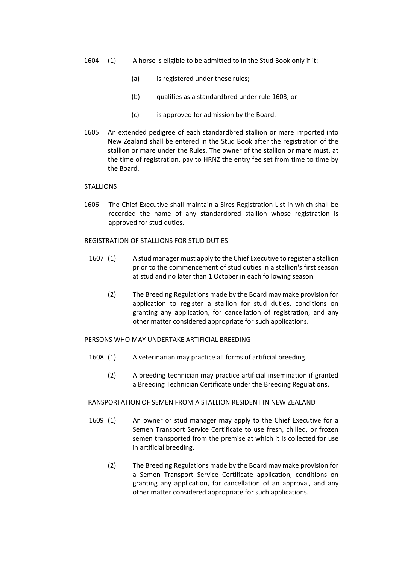- 1604 (1) A horse is eligible to be admitted to in the Stud Book only if it:
	- (a) is registered under these rules;
	- (b) qualifies as a standardbred under rule 1603; or
	- (c) is approved for admission by the Board.
- 1605 An extended pedigree of each standardbred stallion or mare imported into New Zealand shall be entered in the Stud Book after the registration of the stallion or mare under the Rules. The owner of the stallion or mare must, at the time of registration, pay to HRNZ the entry fee set from time to time by the Board.

#### **STALLIONS**

1606 The Chief Executive shall maintain a Sires Registration List in which shall be recorded the name of any standardbred stallion whose registration is approved for stud duties.

#### REGISTRATION OF STALLIONS FOR STUD DUTIES

- 1607 (1) A stud manager must apply to the Chief Executive to register a stallion prior to the commencement of stud duties in a stallion's first season at stud and no later than 1 October in each following season.
	- (2) The Breeding Regulations made by the Board may make provision for application to register a stallion for stud duties, conditions on granting any application, for cancellation of registration, and any other matter considered appropriate for such applications.

# PERSONS WHO MAY UNDERTAKE ARTIFICIAL BREEDING

- 1608 (1) A veterinarian may practice all forms of artificial breeding.
	- (2) A breeding technician may practice artificial insemination if granted a Breeding Technician Certificate under the Breeding Regulations.

#### TRANSPORTATION OF SEMEN FROM A STALLION RESIDENT IN NEW ZEALAND

- 1609 (1) An owner or stud manager may apply to the Chief Executive for a Semen Transport Service Certificate to use fresh, chilled, or frozen semen transported from the premise at which it is collected for use in artificial breeding.
	- (2) The Breeding Regulations made by the Board may make provision for a Semen Transport Service Certificate application, conditions on granting any application, for cancellation of an approval, and any other matter considered appropriate for such applications.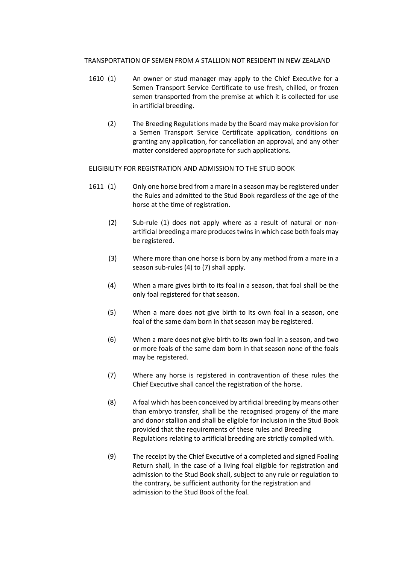# TRANSPORTATION OF SEMEN FROM A STALLION NOT RESIDENT IN NEW ZEALAND

- 1610 (1) An owner or stud manager may apply to the Chief Executive for a Semen Transport Service Certificate to use fresh, chilled, or frozen semen transported from the premise at which it is collected for use in artificial breeding.
	- (2) The Breeding Regulations made by the Board may make provision for a Semen Transport Service Certificate application, conditions on granting any application, for cancellation an approval, and any other matter considered appropriate for such applications.

#### ELIGIBILITY FOR REGISTRATION AND ADMISSION TO THE STUD BOOK

- 1611 (1) Only one horse bred from a mare in a season may be registered under the Rules and admitted to the Stud Book regardless of the age of the horse at the time of registration.
	- (2) Sub-rule (1) does not apply where as a result of natural or non artificial breeding a mare produces twins in which case both foals may be registered.
	- (3) Where more than one horse is born by any method from a mare in a season sub-rules (4) to (7) shall apply.
	- (4) When a mare gives birth to its foal in a season, that foal shall be the only foal registered for that season.
	- (5) When a mare does not give birth to its own foal in a season, one foal of the same dam born in that season may be registered.
	- (6) When a mare does not give birth to its own foal in a season, and two or more foals of the same dam born in that season none of the foals may be registered.
	- (7) Where any horse is registered in contravention of these rules the Chief Executive shall cancel the registration of the horse.
	- (8) A foal which has been conceived by artificial breeding by means other than embryo transfer, shall be the recognised progeny of the mare and donor stallion and shall be eligible for inclusion in the Stud Book provided that the requirements of these rules and Breeding Regulations relating to artificial breeding are strictly complied with.
	- (9) The receipt by the Chief Executive of a completed and signed Foaling Return shall, in the case of a living foal eligible for registration and admission to the Stud Book shall, subject to any rule or regulation to the contrary, be sufficient authority for the registration and admission to the Stud Book of the foal.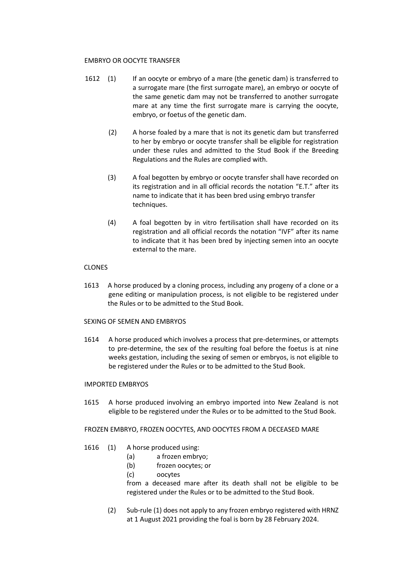# EMBRYO OR OOCYTE TRANSFER

- 1612 (1) If an oocyte or embryo of a mare (the genetic dam) is transferred to a surrogate mare (the first surrogate mare), an embryo or oocyte of the same genetic dam may not be transferred to another surrogate mare at any time the first surrogate mare is carrying the oocyte, embryo, or foetus of the genetic dam.
	- (2) A horse foaled by a mare that is not its genetic dam but transferred to her by embryo or oocyte transfer shall be eligible for registration under these rules and admitted to the Stud Book if the Breeding Regulations and the Rules are complied with.
	- (3) A foal begotten by embryo or oocyte transfer shall have recorded on its registration and in all official records the notation "E.T." after its name to indicate that it has been bred using embryo transfer techniques.
	- (4) A foal begotten by in vitro fertilisation shall have recorded on its registration and all official records the notation "IVF" after its name to indicate that it has been bred by injecting semen into an oocyte external to the mare.

# CLONES

- 1613 A horse produced by a cloning process, including any progeny of a clone or a gene editing or manipulation process, is not eligible to be registered under the Rules or to be admitted to the Stud Book.
- SEXING OF SEMEN AND EMBRYOS
- 1614 A horse produced which involves a process that pre-determines, or attempts to pre-determine, the sex of the resulting foal before the foetus is at nine weeks gestation, including the sexing of semen or embryos, is not eligible to be registered under the Rules or to be admitted to the Stud Book.

# IMPORTED EMBRYOS

1615 A horse produced involving an embryo imported into New Zealand is not eligible to be registered under the Rules or to be admitted to the Stud Book.

# FROZEN EMBRYO, FROZEN OOCYTES, AND OOCYTES FROM A DECEASED MARE

- 1616 (1) A horse produced using:
	- (a) a frozen embryo;
	- (b) frozen oocytes; or
	- (c) oocytes

from a deceased mare after its death shall not be eligible to be registered under the Rules or to be admitted to the Stud Book.

(2) Sub-rule (1) does not apply to any frozen embryo registered with HRNZ at 1 August 2021 providing the foal is born by 28 February 2024.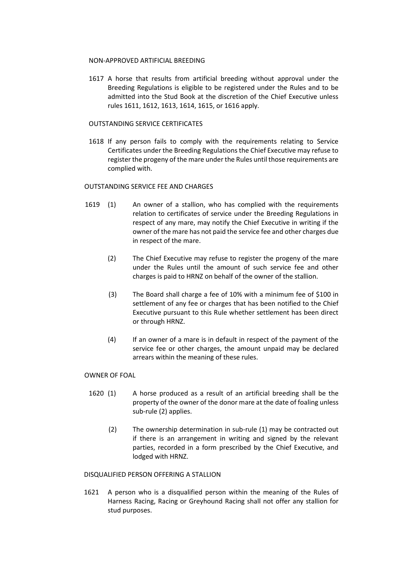#### NON-APPROVED ARTIFICIAL BREEDING

1617 A horse that results from artificial breeding without approval under the Breeding Regulations is eligible to be registered under the Rules and to be admitted into the Stud Book at the discretion of the Chief Executive unless rules 1611, 1612, 1613, 1614, 1615, or 1616 apply.

## OUTSTANDING SERVICE CERTIFICATES

1618 If any person fails to comply with the requirements relating to Service Certificates under the Breeding Regulations the Chief Executive may refuse to register the progeny of the mare under the Rules until those requirements are complied with.

## OUTSTANDING SERVICE FEE AND CHARGES

- 1619 (1) An owner of a stallion, who has complied with the requirements relation to certificates of service under the Breeding Regulations in respect of any mare, may notify the Chief Executive in writing if the owner of the mare has not paid the service fee and other charges due in respect of the mare.
	- (2) The Chief Executive may refuse to register the progeny of the mare under the Rules until the amount of such service fee and other charges is paid to HRNZ on behalf of the owner of the stallion.
	- (3) The Board shall charge a fee of 10% with a minimum fee of \$100 in settlement of any fee or charges that has been notified to the Chief Executive pursuant to this Rule whether settlement has been direct or through HRNZ.
	- (4) If an owner of a mare is in default in respect of the payment of the service fee or other charges, the amount unpaid may be declared arrears within the meaning of these rules.

#### OWNER OF FOAL

- 1620 (1) A horse produced as a result of an artificial breeding shall be the property of the owner of the donor mare at the date of foaling unless sub-rule (2) applies.
	- (2) The ownership determination in sub-rule (1) may be contracted out if there is an arrangement in writing and signed by the relevant parties, recorded in a form prescribed by the Chief Executive, and lodged with HRNZ.

#### DISQUALIFIED PERSON OFFERING A STALLION

1621 A person who is a disqualified person within the meaning of the Rules of Harness Racing, Racing or Greyhound Racing shall not offer any stallion for stud purposes.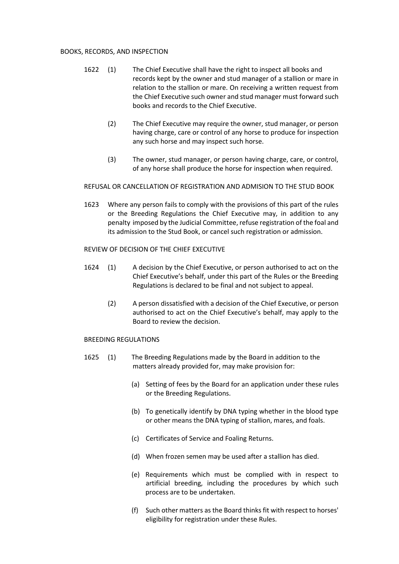## BOOKS, RECORDS, AND INSPECTION

- 1622 (1) The Chief Executive shall have the right to inspect all books and records kept by the owner and stud manager of a stallion or mare in relation to the stallion or mare. On receiving a written request from the Chief Executive such owner and stud manager must forward such books and records to the Chief Executive.
	- (2) The Chief Executive may require the owner, stud manager, or person having charge, care or control of any horse to produce for inspection any such horse and may inspect such horse.
	- (3) The owner, stud manager, or person having charge, care, or control, of any horse shall produce the horse for inspection when required.

#### REFUSAL OR CANCELLATION OF REGISTRATION AND ADMISION TO THE STUD BOOK

1623 Where any person fails to comply with the provisions of this part of the rules or the Breeding Regulations the Chief Executive may, in addition to any penalty imposed by the Judicial Committee, refuse registration of the foal and its admission to the Stud Book, or cancel such registration or admission.

# REVIEW OF DECISION OF THE CHIEF EXECUTIVE

- 1624 (1) A decision by the Chief Executive, or person authorised to act on the Chief Executive's behalf, under this part of the Rules or the Breeding Regulations is declared to be final and not subject to appeal.
	- (2) A person dissatisfied with a decision of the Chief Executive, or person authorised to act on the Chief Executive's behalf, may apply to the Board to review the decision.

#### BREEDING REGULATIONS

- 1625 (1) The Breeding Regulations made by the Board in addition to the matters already provided for, may make provision for:
	- (a) Setting of fees by the Board for an application under these rules or the Breeding Regulations.
	- (b) To genetically identify by DNA typing whether in the blood type or other means the DNA typing of stallion, mares, and foals.
	- (c) Certificates of Service and Foaling Returns.
	- (d) When frozen semen may be used after a stallion has died.
	- (e) Requirements which must be complied with in respect to artificial breeding, including the procedures by which such process are to be undertaken.
	- (f) Such other matters as the Board thinks fit with respect to horses' eligibility for registration under these Rules.